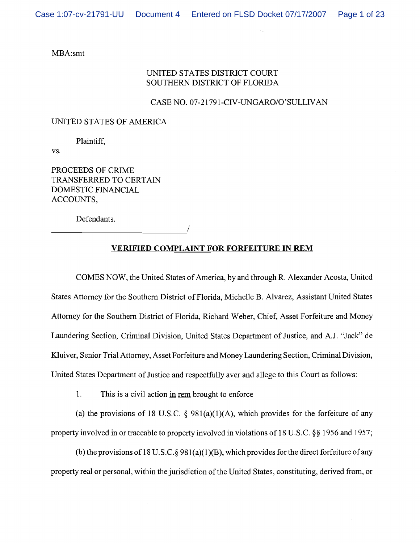### MBA:smt

# UNITED STATES DISTRICT COURT SOUTHERN DISTRICT OF FLORIDA

### CASE NO. 07-21791-CIV-UNGARO/O'SULLIVAN

#### UNITED STATES OF AMERICA

Plaintiff,

VS.

PROCEEDS OF CRIME TRANSFERRED TO CERTAIN DOMESTIC FINANCIAL ACCOUNTS,

Defendants.

1

# **VERIFIED COMPLAINT FOR FORFEITURE IN REM**

COMES NOW, the United States of America, by and through R. Alexander Acosta, United States Attorney for the Southern District of Florida, Michelle B. Alvarez, Assistant United States Attorney for the Southern District of Florida, Richard Weber, Chief, Asset Forfeiture and Money Laundering Section, Criminal Division, United States Department of Justice, and A.J. "Jack" de Kluiver, Senior Trial Attorney, Asset Forfeiture and Money Laundering Section, Criminal Division, United States Department of Justice and respectfully aver and allege to this Court as follows:

1. This is a civil action in rem brought to enforce

(a) the provisions of 18 U.S.C.  $\S$  981(a)(1)(A), which provides for the forfeiture of any property involved in or traceable to property involved in violations of 18 U.S.C. § \$1956 and 1957;

(b) the provisions of 18 U.S.C.  $\S 981(a)(1)(B)$ , which provides for the direct forfeiture of any property real or personal, within the jurisdiction of the United States, constituting, derived from, or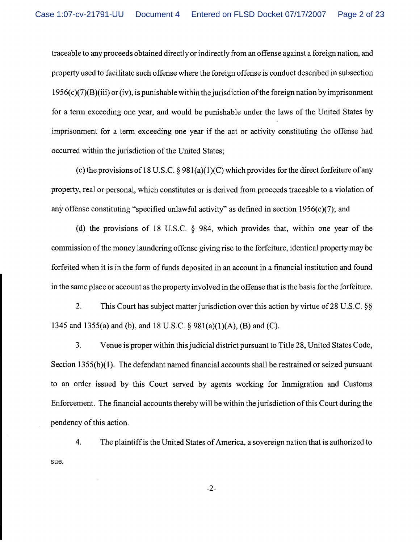traceable to any proceeds obtained directly or indirectly from an offense against a foreign nation, and property used to facilitate such offense where the foreign offense is conduct described in subsection 1956(~)(7)(B)(iii) or (iv), is punishable within the jurisdiction of the foreign nation by imprisonment for a term exceeding one year, and would be punishable under the laws of the United States by imprisonment for a term exceeding one year if the act or activity constituting the offense had occurred within the jurisdiction of the United States;

(c) the provisions of 18 U.S.C. *5* 98l(a)(l)(C) which provides for the direct forfeiture of any property, real or personal, which constitutes or is derived from proceeds traceable to a violation of any offense constituting "specified unlawful activity" as defined in section 1956(c)(7); and

(d) the provisions of 18 U.S.C. *5* 984, which provides that, within one year of the commission of the money laundering offense giving rise to the forfeiture, identical property may be forfeited when it is in the form of funds deposited in an account in a financial institution and found in the same place or account as the property involved in the offense that is the basis for the forfeiture.

2. This Court has subject matter jurisdiction over this action by virtue of 28 U.S.C. *55*  1345 and 1355(a) and (b), and 18 U.S.C. *5* 981(a)(l)(A), (B) and (C).

3. Venue is proper within this judicial district pursuant to Title 28, United States Code, Section 1355(b)(1). The defendant named financial accounts shall be restrained or seized pursuant to an order issued by this Court served by agents working for Immigration and Customs Enforcement. The financial accounts thereby will be within the jurisdiction of this Court during the pendency of this action.

4. The plaintiff is the United States of America, a sovereign nation that is authorized to sue.

 $-2-$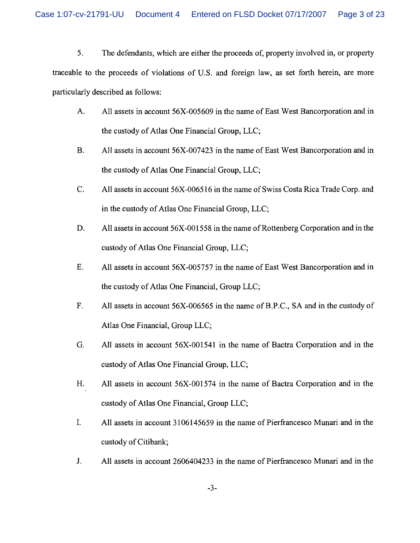Case 1:07-cv-21791-UU Document 4 Entered on FLSD Docket 07/17/2007 Page 3 of 23

5. The defendants, whch are either the proceeds of, property involved in, or property traceable to the proceeds of violations of U.S. and foreign law, as set forth herein, are more particularly described as follows:

- A. All assets in account 56X-005609 in the name of East West Bancorporation and in the custody of Atlas One Financial Group, LLC;
- B. All assets in account 56X-007423 in the name of East West Bancorporation and in the custody of Atlas One Financial Group, LLC;
- C. All assets in account 56X-0065 16 in the name of Swiss Costa Rica Trade Corp. and in the custody of Atlas One Financial Group, LLC;
- D. All assets in account 56X-001558 in the name of Rottenberg Corporation and in the custody of Atlas One Financial Group, LLC;
- E. All assets in account 56X-005757 in the name of East West Bancorporation and in the custody of Atlas One Financial, Group LLC;
- F. All assets in account 56X-006565 in the name of B.P.C., SA and in the custody of Atlas One Financial, Group LLC;
- G. All assets in account 56X-001541 in the name of Bactra Corporation and in the custody of Atlas One Financial Group, LLC;
- H. All assets in account 56X-001574 in the name of Bactra Corporation and in the custody of Atlas One Financial, Group LLC;
- I. All assets in account 3106145659 in the name of Pierfrancesco Munari and in the custody of Citibank;
- J. All assets in account 2606404233 in the name of Pierfrancesco Munari and in the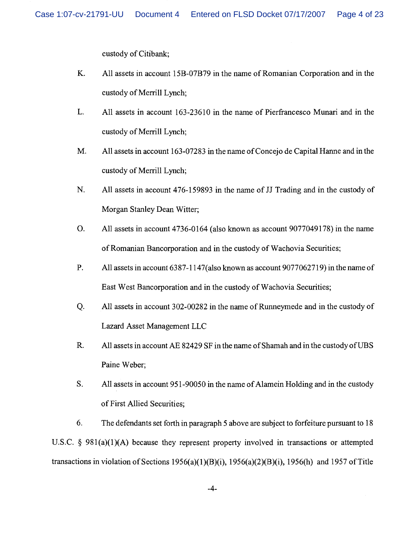custody of Citibank;

- K. All assets in account 15B-07B79 in the name of Romanian Corporation and in the custody of Merrill Lynch:
- L. All assets in account 163-23610 in the name of Pierfiancesco Munari and in the custody of Merrill Lynch:
- M. All assets in account 163-07283 in the name of Concejo de Capital Hanne and in the custody of Memll Lynch;
- N. All assets in account 476-159893 in the name of JJ Trading and in the custody of Morgan Stanley Dean Witter;
- 0. All assets in account 4736-0 164 (also known as account 9077049 178) in the name of Romanian Bancorporation and in the custody of Wachovia Securities;
- P. All assets in account 6387-1 147(also known as account 9077062719) in the name of East West Bancorporation and in the custody of Wachovia Securities;
- Q. All assets in account 302-00282 in the name of Runneyrnede and in the custody of Lazard Asset Management LLC
- R. All assets in account **AE** 82429 SF in the name of Shamah and in the custody of UBS Paine Weber;
- S. All assets in account 95 1-90050 in the name of Alamein Holding and in the custody of First Allied Securities;

6. The defendants set forth in paragraph 5 above are subject to forfeiture pursuant to 18 U.S.C.  $\S$  981(a)(1)(A) because they represent property involved in transactions or attempted transactions in violation of Sections 1956(a)(1)(B)(i), 1956(a)(2)(B)(i), 1956(h) and 1957 of Title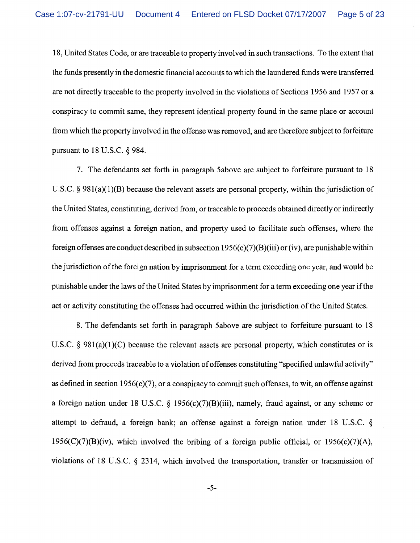18, United States Code, or are traceable to property involved in such transactions. To the extent that the funds presently in the domestic financial accounts to which the laundered funds were transferred are not directly traceable to the property involved in the violations of Sections 1956 and 1957 or a conspiracy to commit same, they represent identical property found in the same place or account from which the property involved in the offense was removed, and are therefore subject to forfeiture pursuant to 18 U.S.C. *5* 984.

7. The defendants set forth in paragraph 5above are subject to forfeiture pursuant to 18 U.S.C. § 981(a)(1)(B) because the relevant assets are personal property, within the jurisdiction of the United States, constituting, derived from, or traceable to proceeds obtained directly or indirectly from offenses against a foreign nation, and property used to facilitate such offenses, where the foreign offenses are conduct described in subsection  $1956(c)(7)(B)(iii)$  or (iv), are punishable within the jurisdiction of the foreign nation by imprisonment for a term exceeding one year, and would be punishable under the laws of the United States by imprisonment for a term exceeding one year if the act or activity constituting the offenses had occurred within the jurisdiction of the United States.

8. The defendants set forth in paragraph 5above are subject to forfeiture pursuant to 18 U.S.C.  $\S$  981(a)(1)(C) because the relevant assets are personal property, which constitutes or is derived from proceeds traceable to a violation of offenses constituting "specified unlawful activity" as defined in section 1956(c)(7), or a conspiracy to commit such offenses, to wit, an offense against a foreign nation under 18 U.S.C. *5* 1956(c)(7)(B)(iii), namely, fraud against, or any scheme or attempt to defraud, a foreign bank; an offense against a foreign nation under 18 U.S.C. *5*   $1956(C)(7)(B)(iv)$ , which involved the bribing of a foreign public official, or  $1956(c)(7)(A)$ , violations of 18 U.S.C. *5* 2314, which involved the transportation, transfer or transmission of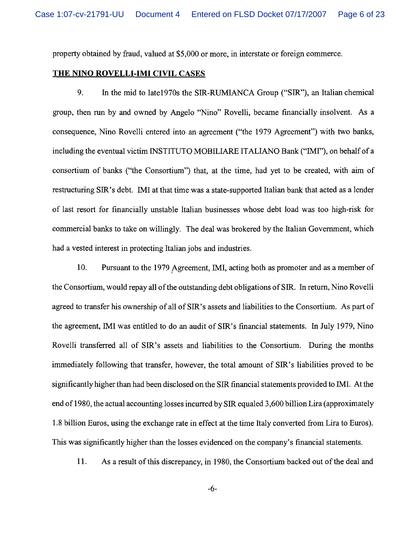property obtained by fraud, valued at \$5,000 or more, in interstate or foreign commerce.

# **THE NINO ROVELLI-IMI CIVIL CASES**

9. In the mid to late1970s the SIR-RUMIANCA Group ("SIR"), an Italian chemical group, then run by and owned by Angelo "Nino" Rovelli, became financially insolvent. As a consequence, Nino Rovelli entered into an agreement ("the 1979 Agreement") with two banks, including the eventual victim INSTITUTO MOBILIARE ITALIANO Bank ("IMI"), on behalf of a consortium of banks ("the Consortium") that, at the time, had yet to be created, with aim of restructuring SIR's debt. IMI at that time was a state-supported Italian bank that acted as a lender of last resort for financially unstable Italian businesses whose debt load was too high-risk for commercial banks to take on willingly. The deal was brokered by the Italian Government, which had a vested interest in protecting Italian jobs and industries.

10. Pursuant to the 1979 Agreement, IMI, acting both as promoter and as a member of the Consortium, would repay all of the outstanding debt obligations of SIR. In return, Nino Rovelli agreed to transfer his ownership of all of SIR's assets and liabilities to the Consortium. As part of the agreement, IMI was entitled to do an audit of SIR's financial statements. In July 1979, Nino Rovelli transferred all of SIR'S assets and liabilities to the Consortium. During the months immediately following that transfer, however, the total amount of SIR'S liabilities proved to be significantly higher than had been disclosed on the SIR financial statements provided to IMI. At the end of 1980, the actual accounting losses incurred by SIR equaled 3,600 billion Lira (approximately 1.8 billion Euros, using the exchange rate in effect at the time Italy converted from Lira to Euros). This was significantly higher than the losses evidenced on the company's financial statements.

11. As a result of this discrepancy, in 1980, the Consortium backed out of the deal and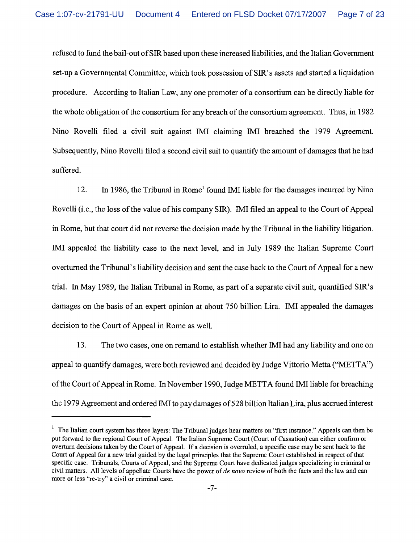refused to fimd the bail-out of SIR based upon these increased liabilities, and the Italian Government set-up a Governmental Committee, which took possession of SIR'S assets and started a liquidation procedure. According to Italian Law, any one promoter of a consortium can be directly liable for the whole obligation of the consortium for any breach of the consortium agreement. Thus, in 1982 Nino Rovelli filed a civil suit against IMI claiming IMI breached the 1979 Agreement. Subsequently, Nino Rovelli filed a second civil suit to quantify the amount of damages that he had suffered.

12. In 1986, the Tribunal in Rome<sup>1</sup> found IMI liable for the damages incurred by Nino Rovelli (i.e., the loss of the value of his company SIR). IMI filed an appeal to the Court of Appeal in Rome, but that court did not reverse the decision made by the Tribunal in the liability litigation. IMI appealed the liability case to the next level, and in July 1989 the Italian Supreme Court overturned the Tribunal's liability decision and sent the case back to the Court of Appeal for a new trial. In May 1989, the Italian Tribunal in Rome, as part of a separate civil suit, quantified SIR'S damages on the basis of an expert opinion at about 750 billion Lira. IMI appealed the damages decision to the Court of Appeal in Rome as well.

13. The two cases, one on remand to establish whether IMI had any liability and one on appeal to quantify damages, were both reviewed and decided by Judge Vittorio Metta ("METTA") of the Court of Appeal in Rome. In November 1990, Judge METTA found IMI liable for breaching the 1979 Agreement and ordered IMI to pay damages of 528 billion Italian Lira, plus accrued interest

<sup>&</sup>lt;sup>1</sup> The Italian court system has three layers: The Tribunal judges hear matters on "first instance." Appeals can then be put forward to the regional Court of Appeal. The Italian Supreme Court (Court of Cassation) can either confirm or overturn decisions taken by the Court of Appeal. If a decision is overruled, a specific case may be sent back to the Court of Appeal for a new trial guided by the legal principles that the Supreme Court established in respect of that specific case. Tribunals, Courts of Appeal, and the Supreme Court have dedicated judges specializing in criminal or civil matters. All levels of appellate Courts have the power of *de novo* review of both the facts and the law and can more or less "re-try" a civil or criminal case.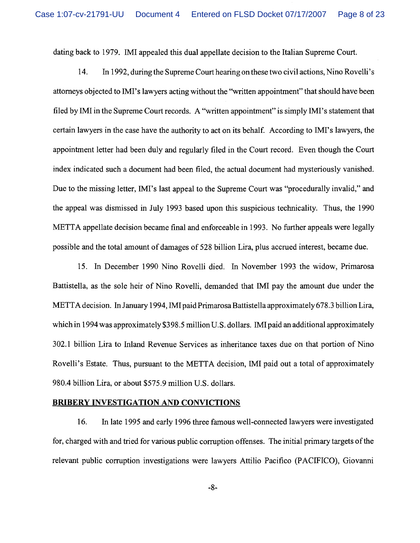dating back to 1979. IMI appealed this dual appellate decision to the Italian Supreme Court.

14. In 1992, during the Supreme Court hearing on these two civil actions, Nino Rovelli's attorneys objected to IMI's lawyers acting without the "written appointment" that should have been filed by IMI in the Supreme Court records. A "written appointment" is simply IMI's statement that certain lawyers in the case have the authority to act on its behalf. According to IMI's lawyers, the appointment letter had been duly and regularly filed in the Court record. Even though the Court index indicated such a document had been filed, the actual document had mysteriously vanished. Due to the missing letter, IMI's last appeal to the Supreme Court was "procedurally invalid," and the appeal was dismissed in July 1993 based upon this suspicious technicality. Thus, the 1990 METTA appellate decision became final and enforceable in 1993. No further appeals were legally possible and the total amount of damages of 528 billion Lira, plus accrued interest, became due.

15. In December 1990 Nino Rovelli died. In November 1993 the widow, Primarosa Battistella, as the sole heir of Nino Rovelli, demanded that IMI pay the amount due under the METTA decision. In January 1994, IMI paid Primarosa Battistella approximately 678.3 billion Lira, which in 1994 was approximately \$398.5 million U.S. dollars. IMI paid an additional approximately 302.1 billion Lira to Inland Revenue Services as inheritance taxes due on that portion of Nino Rovelli's Estate. Thus, pursuant to the METTA decision, IMI paid out a total of approximately 980.4 billion Lira, or about \$575.9 million U.S. dollars.

#### **BRIBERY INVESTIGATION** AND **CONVICTIONS**

16. In late 1995 and early 1996 three famous well-connected lawyers were investigated for, charged with and tried for various public corruption offenses. The initial primary targets of the relevant public corruption investigations were lawyers Attilio Pacifico (PACIFICO), Giovanni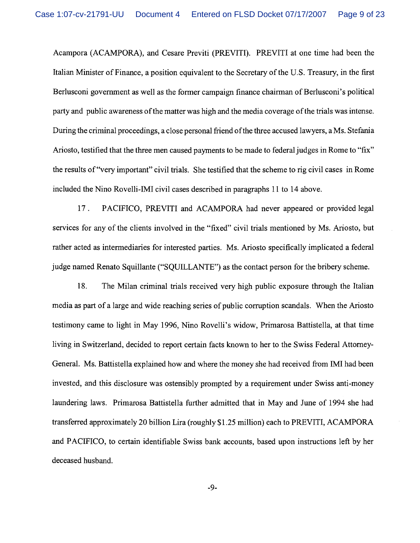Acampora (ACAMPORA), and Cesare Previti (PREVITT). PREVITI at one time had been the Italian Minister of Finance, a position equivalent to the Secretary of the U.S. Treasury, in the first Berlusconi government as well as the former campaign finance chairman of Berlusconi's political party and public awareness of the matter was high and the media coverage of the trials was intense. During the criminal proceedings, a close personal friend of the three accused lawyers, a Ms. Stefania Ariosto, testified that the three men caused payments to be made to federal judges in Rome to "fix" the results of "very important" civil trials. She testified that the scheme to rig civil cases in Rome included the Nino Rovelli-IMI civil cases described in paragraphs 11 to 14 above.

17 . PACIFICO, PREVITI and ACAMPORA had never appeared or provided legal services for any of the clients involved in the "fixed" civil trials mentioned by Ms. Ariosto, but rather acted as intermediaries for interested parties. Ms. Ariosto specifically implicated a federal judge named Renato Squillante ("SQUILLANTE") as the contact person for the bribery scheme.

18. The Milan criminal trials received very high public exposure through the Italian media as part of a large and wide reaching series of public corruption scandals. When the Ariosto testimony came to light in May 1996, Nino Rovelli's widow, Primarosa Battistella, at that time living in Switzerland, decided to report certain facts known to her to the Swiss Federal Attorney-General. Ms. Battistella explained how and where the money she had received from IMI had been invested, and this disclosure was ostensibly prompted by a requirement under Swiss anti-money laundering laws. Primarosa Battistella further admitted that in May and June of 1994 she had transferred approximately 20 billion Lira (roughly \$1.25 million) each to PREVITI, ACAMPORA and PACIFICO, to certain identifiable Swiss bank accounts, based upon instructions left by her deceased husband.

 $-9-$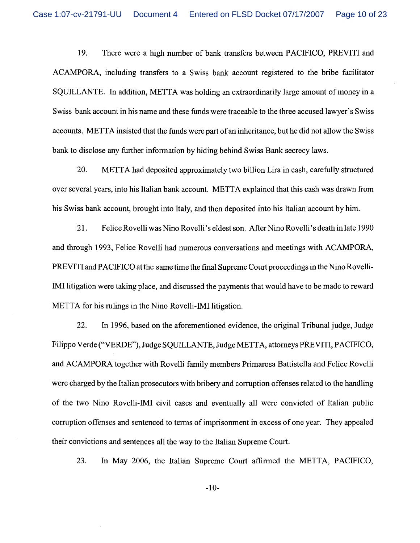19. There were a high number of bank transfers between PACIFICO, PREVITI and ACAMPORA, including transfers to a Swiss bank account registered to the bribe facilitator SQUILLANTE. In addition, METTA was holding an extraordinarily large amount of money in a Swiss bank account in his name and these funds were traceable to the three accused lawyer's Swiss accounts. METTA insisted that the funds were part of an inheritance, but he did not allow the Swiss bank to disclose any further information by hiding behind Swiss Bank secrecy laws.

20. METTA had deposited approximately two billion Lira in cash, carefully structured over several years, into his Italian bank account. METTA explained that this cash was drawn from his Swiss bank account, brought into Italy, and then deposited into his Italian account by him.

2 1. Felice Rovelli was Nino Rovelli's eldest son. After Nino Rovelli's death in late 1990 and through 1993, Felice Rovelli had numerous conversations and meetings with ACAMPORA, PREVITI and PACIFICO at the same time the final Supreme Court proceedings in the Nino Rovelli-IMI litigation were taking place, and discussed the payments that would have to be made to reward METTA for his rulings in the Nino Rovelli-IMI litigation.

22. In 1996, based on the aforementioned evidence, the original Tribunal judge, Judge Filippo Verde ("VERDE"), Judge SQUILLANTE, Judge METTA, attorneys PREVITI, PACIFICO, and ACAMPORA together with Rovelli family members Primarosa Battistella and Felice Rovelli were charged by the Italian prosecutors with bribery and corruption offenses related to the handling of the two Nino Rovelli-IMI civil cases and eventually all were convicted of Italian public corruption offenses and sentenced to terms of imprisonment in excess of one year. They appealed their convictions and sentences all the way to the Italian Supreme Court.

23. In May 2006, the Italian Supreme Court affirmed the METTA, PACIFICO,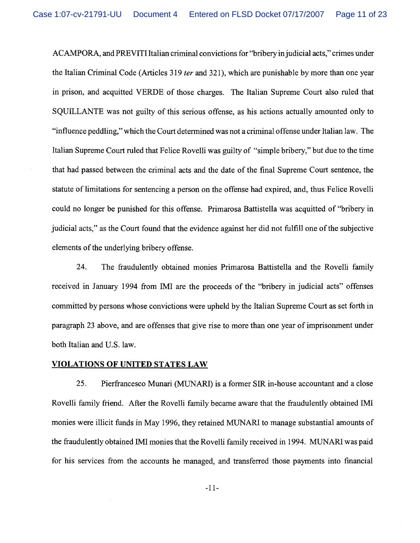ACAMPORA, and PREVITI Italian criminal convictions for "bribery in judicial acts," crimes under the Italian Criminal Code (Articles 3 19 *ter* and 321), which are punishable by more than one year in prison, and acquitted VERDE of those charges. The Italian Supreme Court also ruled that SQUILLANTE was not guilty of this serious offense, as his actions actually amounted only to "influence peddling," which the Court determined was not a criminal offense under Italian law. The Italian Supreme Court ruled that Felice Rovelli was guilty of "simple bribery," but due to the time that had passed between the criminal acts and the date of the final Supreme Court sentence, the statute of limitations for sentencing a person on the offense had expired, and, thus Felice Rovelli could no longer be punished for this offense. Primarosa Battistella was acquitted of "bribery in judicial acts," as the Court found that the evidence against her did not fulfill one of the subjective elements of the underlying bribery offense.

24. The fraudulently obtained monies Primarosa Battistella and the Rovelli family received in January 1994 from IMI are the proceeds of the "bribery in judicial acts" offenses committed by persons whose convictions were upheld by the Italian Supreme Court as set forth in paragraph 23 above, and are offenses that give rise to more than one year of imprisonment under both Italian and U.S. law.

# **VIOLATIONS OF UNITED STATES LAW**

25. Pierfrancesco Munari (MUNARI) is a former SIR in-house accountant and a close Rovelli family friend. After the Rovelli family became aware that the fraudulently obtained IMI monies were illicit funds in May 1996, they retained MUNARI to manage substantial amounts of the fraudulently obtained IMI monies that the Rovelli family received in 1994. MUNARI was paid for his services from the accounts he managed, and transferred those payments into financial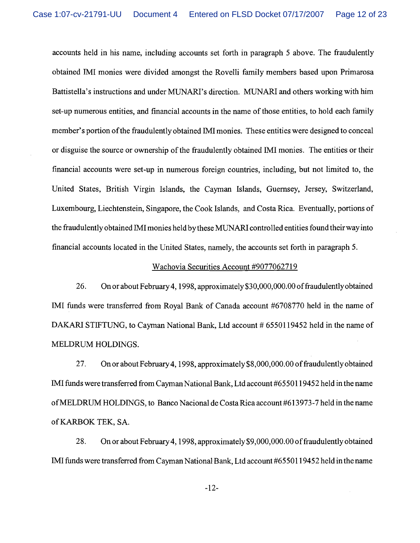accounts held in his name, including accounts set forth in paragraph 5 above. The fraudulently obtained MI monies were divided amongst the Rovelli family members based upon Primarosa Battistella's instructions and under MUNARI's direction. MUNARI and others working with him set-up numerous entities, and financial accounts in the name of those entities, to hold each family member's portion of the fraudulently obtained IMI monies. These entities were designed to conceal or disguise the source or ownership of the fraudulently obtained IMI monies. The entities or their financial accounts were set-up in numerous foreign countries, including, but not limited to, the United States, British Virgin Islands, the Cayman Islands, Guernsey, Jersey, Switzerland, Luxembourg, Liechtenstein, Singapore, the Cook Islands, and Costa Rica. Eventually, portions of the fraudulently obtained IMI monies held by these MUNARI controlled entities found their way into financial accounts located in the United States, namely, the accounts set forth in paragraph 5.

## Wachovia Securities Account #9077062719

26. On or about February 4,1998, approximately \$30,000,000.00 of fraudulently obtained IMI funds were transferred from Royal Bank of Canada account #6708770 held in the name of DAKARI STIFTUNG, to Cayman National Bank, Ltd account # 6550119452 held in the name of MELDRUM HOLDINGS.

27. On or about February 4,1998, approximately \$8,000,000.00 of fraudulently obtained IMI funds were transferred from Cayman National Bank, Ltd account #6550119452 held in the name of MELDRLJM HOLDINGS, to Banco Nacional de Costa Rica account #613973-7 held in the name of KARBOK TEK, SA.

28. On or about February4,1998, approximately \$9,000,000.00 of fraudulently obtained IMI funds were transferred from Cayman National Bank, Ltd account #6550119452 held in the name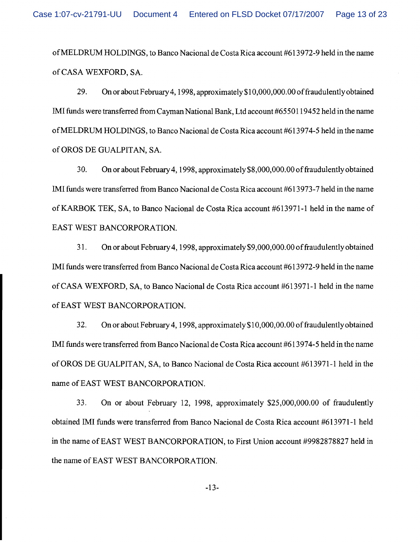of MELDRUNI HOLDINGS, to Banco Nacional de Costa Rica account #613972-9 held in the name of CASA WEXFORD, SA.

29. On or about February4,1998, approximately \$1 0,000,000.00 of fraudulently obtained IMI funds were transferred from Cayman National Bank, Ltd account #6550119452 held in the name of MELDRUM HOLDINGS, to Banco Nacional de Costa Rica account #613974-5 held in the name of OROS DE GUALPITAN, SA.

30. On or about February 4,1998, approximately \$8,000,000.00 of fraudulently obtained IMI funds were transferred from Banco Nacional de Costa Rica account #6 13973-7 held in the name of KARBOK TEK, SA, to Banco Nacional de Costa Rica account #6 1397 1-1 held in the name of EAST WEST BANCORPORATION.

3 1. On or about February4,1998, approximately \$9,000,000.00 of fraudulently obtained IMI funds were transferred from Banco Nacional de Costa Rica account #613972-9 held in the name of CASA WEXFORD, SA, to Banco Nacional de Costa Rica account #613971-1 held in the name of EAST WEST BANCORPORATION.

32. On or about February 4,1998, approximately \$10,000,00.00 of fraudulently obtained IMI funds were transferred from Banco Nacional de Costa Rica account #6 13974-5 held in the name of OROS DE GUALPITAN, SA, to Banco Nacional de Costa Rica account #613971-1 held in the name of EAST WEST BANCORPORATION.

33. On or about February 12, 1998, approximately \$25,000,000.00 of fraudulently obtained IMI funds were transferred from Banco Nacional de Costa Rica account #613971-1 held in the name of EAST WEST BANCORPORATION, to First Union account #9982878827 held in the name of EAST WEST BANCORPORATION.

 $-13-$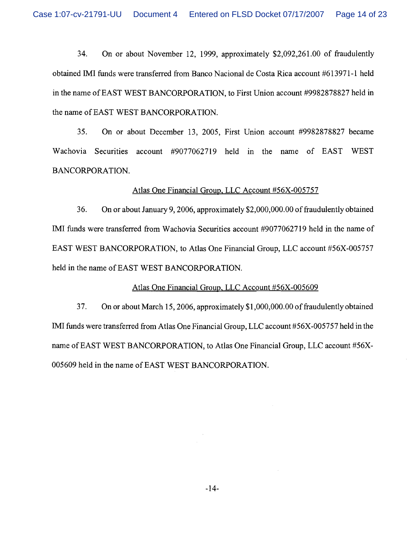Case 1:07-cv-21791-UU Document 4 Entered on FLSD Docket 07/17/2007 Page 14 of 23

34. On or about November 12, 1999, approximately \$2,092,261.00 of fraudulently obtained IMI funds were transferred from Banco Nacional de Costa Rica account #613971-1 held in the name of EAST WEST BANCORPORATION, to First Union account #9982878827 held in the name of EAST WEST BANCORPORATION.

35. On or about December 13, 2005, First Union account #9982878827 became Wachovia Securities account #9077062719 held in the name of EAST WEST BANCORPORATION.

#### Atlas One Financial Group. LLC Account #56X-005757

36. On or about January 9,2006, approximately \$2,000,000.00 of fraudulently obtained IMI funds were transferred from Wachovia Securities account #9077062719 held in the name of EAST WEST BANCORPORATION, to Atlas One Financial Group, LLC account #56X-005757 held in the name of EAST WEST BANCORPORATION.

### Atlas One Financial Group, LLC Account #56X-005609

37. On or about March 15,2006, approximately \$1,000,000.00 of fraudulently obtained IMI funds were transferred from Atlas One Financial Group, LLC account #56X-005757 held in the name of EAST WEST BANCORPORATION, to Atlas One Financial Group, LLC account #56X-005609 held in the name of EAST WEST BANCORPORATION.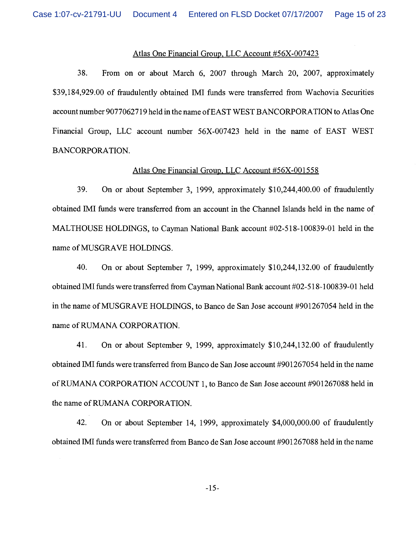## Atlas One Financial Group, LLC Account #56X-007423

38. From on or about March 6, 2007 through March 20, 2007, approximately \$39,184,929.00 of fraudulently obtained IMI funds were transferred from Wachovia Securities account number 90770627 19 held in the name of EAST WEST BANCORPORATION to Atlas One Financial Group, LLC account number 56X-007423 held in the name of EAST WEST BANCORPORATION.

## Atlas One Financial Group. LLC Account #56X-001558

39. On or about September 3, 1999, approximately \$10,244,400.00 of fraudulently obtained MI funds were transferred from an account in the Channel Islands held in the name of MALTHOUSE HOLDINGS, to Cayman National Bank account #02-5 18-1 00839-01 held in the name of MUSGRAVE HOLDINGS.

40. On or about September 7, 1999, approximately \$10,244,132.00 of fraudulently obtained IMI funds were transferred from Cayman National Bank account #02-518-100839-01 held in the name of MUSGRAVE HOLDINGS, to Banco de San Jose account #901267054 held in the name of RUMANA CORPORATION.

41. On or about September 9, 1999, approximately \$10,244,132.00 of fraudulently obtained IMI funds were transferred from Banco de San Jose account #901267054 held in the name of RUMANA CORPORATION ACCOUNT 1, to Banco de San Jose account #901267088 held in the name of RLMANA CORPORATION.

42. On or about September 14, 1999, approximately \$4,000,000.00 of fraudulently obtained MI finds were transferred from Banco de San Jose account #901267088 held in the name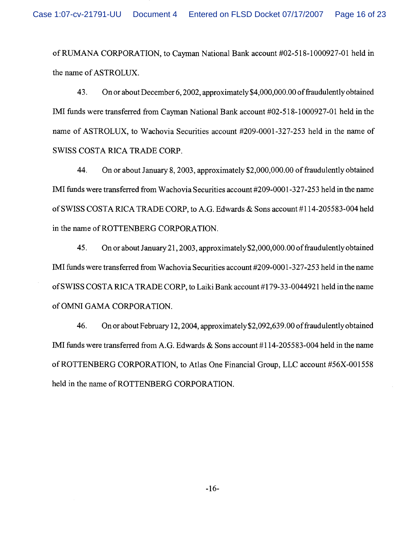of RLMANA CORPORATION, to Cayman National Bank account #02-5 18-1 000927-01 held in the name of ASTROLUX.

43. On or about December 6,2002, approximately \$4,000,000.00 of fraudulently obtained MI funds were transferred from Cayman National Bank account #02-5 18- 1000927-01 held in the name of ASTROLUX, to Wachovia Securities account #209-0001-327-253 held in the name of SWISS COSTA RICA TRADE CORP.

44. On or about January 8,2003, approximately \$2,000,000.00 of fraudulently obtained MI funds were transferred from Wachovia Securities account #209-0001-327-253 held in the name of SWISS COSTA RICA TRADE CORP, to A.G. Edwards & Sons account #114-205583-004 held in the name of ROTTENBERG CORPORATION.

45. On or about January 21,2003, approximately \$2,000,000.00 of fraudulently obtained MI funds were transferred from Wachovia Securities account #209-0001-327-253 held in the name of SWISS COSTA RICA TRADE CORP, to Laiki Bank account #179-33-0044921 held in the name of OMNI GAMA CORPORATION.

46. On or about February 12,2004, **approximately\$2,092,639.00** of fraudulently obtained IMI funds were transferred from A.G. Edwards & Sons account #114-205583-004 held in the name of ROTTENBERG CORPORATION, to Atlas One Financial Group, LLC account #56X-00 1558 held in the name of ROTTENBERG CORPORATION.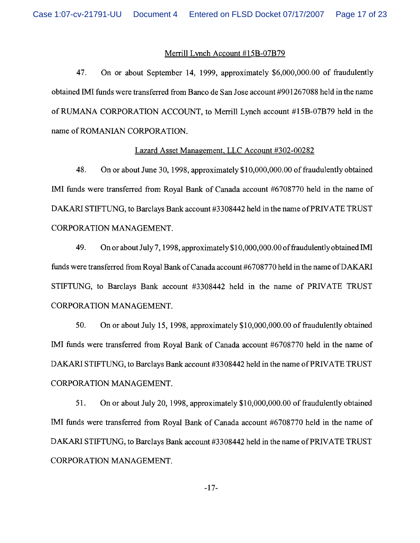# Merrill Lynch Account #15B-07B79

47. On or about September 14, 1999, approximately \$6,000,000.00 of fraudulently obtained IMI funds were transferred from Banco de San Jose account #901267088 held in the name of RUMANA CORPORATION ACCOUNT, to Merrill Lynch account #15B-07B79 held in the name of ROMANIAN CORPORATION.

# Lazard Asset Management, LLC Account #302-00282

48. On or about June 30, 1998, approximately \$1 0,000,000.00 of fraudulently obtained IMI funds were transferred from Royal Bank of Canada account #6708770 held in the name of DAKARI STIFTLING, to Barclays Bank account #3308442 held in the name of PRIVATE TRUST CORPORATION MANAGEMENT.

49. On or about July 7, 1998, approximately \$10,000,000.00 of fraudulently obtained IMI finds were transferred from Royal Bank of Canada account #6708770 held in the name of DAKARI STIFTUNG, to Barclays Bank account #3308442 held in the name of PRIVATE TRUST CORPORATION MANAGEMENT.

50. On or about July 15, 1998, approximately \$1 0,000,000.00 of fraudulently obtained IMI finds were transferred from Royal Bank of Canada account #6708770 held in the name of DAKARI STIFTUNG, to Barclays Bank account #3308442 held in the name of PRIVATE TRUST CORPORATION MANAGEMENT.

51. On or about July 20, 1998, approximately \$10,000,000.00 of fraudulently obtained IMI funds were transferred from Royal Bank of Canada account #6708770 held in the name of DAKARI STIFTUNG, to Barclays Bank account #3308442 held in the name of PRIVATE TRUST CORPORATION MANAGEMENT.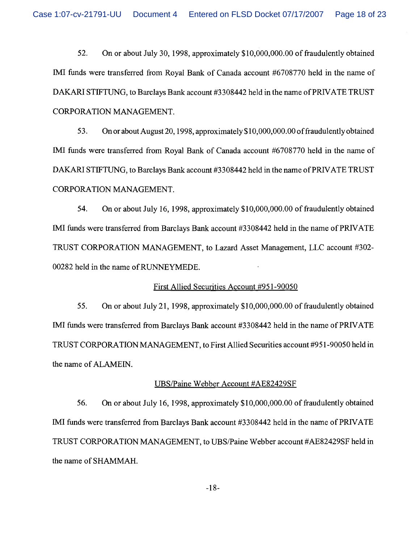Case 1:07-cv-21791-UU Document 4 Entered on FLSD Docket 07/17/2007 Page 18 of 23

52. On or about July 30, 1998, approximately \$10,000,000.00 of fraudulently obtained IMI funds were transferred from Royal Bank of Canada account #6708770 held in the name of DAKARI STIFTUNG, to Barclays Bank account #3308442 held in the name of PRIVATE TRUST CORPORATION MANAGEMENT.

53. On or about August 20,1998, approximately \$10,000,000.00 of fraudulently obtained IMI funds were transferred from Royal Bank of Canada account #6708770 held in the name of DAKARI STIFTUNG, to Barclays Bank account #3308442 held in the name of PRIVATE TRUST CORPORATION MANAGEMENT.

54. On or about July 16, 1998, approximately \$10,000,000.00 of fraudulently obtained IMI funds were transferred from Barclays Bank account #3308442 held in the name of PRIVATE TRUST CORPORATION MANAGEMENT, to Lazard Asset Management, LLC account #302- 00282 held in the name of RUNNEYMEDE.

#### First Allied Securities Account #95 1-90050

55. On or about July 21, 1998, approximately \$10,000,000.00 of fraudulently obtained IMI funds were transferred from Barclays Bank account #3308442 held in the name of PRIVATE TRUST CORPORATION MANAGEMENT, to First Allied Securities account #95 1-90050 held in the name of ALAMEIN.

#### UBSPaine Webber Account #AE82429SF

56. On or about July 16, 1998, approximately \$10,000,000.00 of fraudulently obtained IMI funds were transferred from Barclays Bank account #3308442 held in the name of PRIVATE TRUST CORPORATION MANAGEMENT, to UBSIPaine Webber account #AE82429SF held in the name of SHAMMAH.

 $-18-$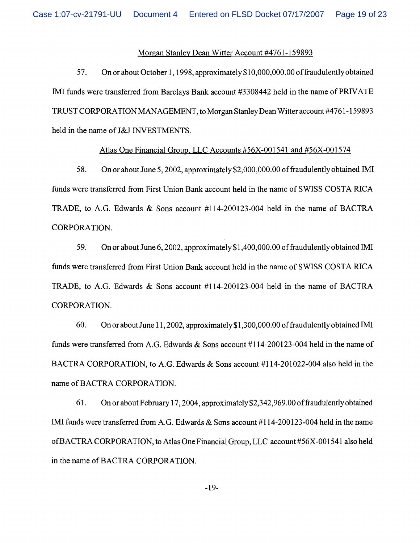#### Morgan Stanley Dean Witter Account #4761-159893

57. On or about October 1,1998, approximately \$10,000,000.00 of fraudulently obtained IMI funds were transferred from Barclays Bank account #3308442 held in the name of PRIVATE TRUST CORPORATION MANAGEMENT, to Morgan Stanley Dean Witter account #476 1 - 159893 held in the name of J&J INVESTMENTS.

# Atlas One Financial Group, LLC Accounts #56X-001541 and #56X-001574

58. On or about June 5,2002, approximately \$2,000,000.00 of fraudulently obtained IMI funds were transferred from First Union Bank account held in the name of SWISS COSTA RICA TRADE, to A.G. Edwards & Sons account #114-200123-004 held in the name of BACTRA CORPORATION.

59. On or about June 6,2002, approximately \$1,400,000.00 of fraudulently obtained IMI funds were transferred from First Union Bank account held in the name of SWISS COSTA RICA TRADE, to A.G. Edwards & Sons account #114-200123-004 held in the name of BACTRA CORPORATION.

60. On or about June 1 1,2002, approximately \$1 ,300,000.00 of fraudulently obtained IMI funds were transferred from A.G. Edwards & Sons account  $\#114$ -200123-004 held in the name of BACTRA CORPORATION, to A.G. Edwards & Sons account #114-201022-004 also held in the name of BACTRA CORPORATION.

61. On or about February 17,2004, approximately \$2,342,969.00 of fraudulently obtained IMI funds were transferred from A.G. Edwards & Sons account #114-200123-004 held in the name of BACTRA CORPORATION, to Atlas One Financial Group, LLC account #56X-00154 1 also held in the name of BACTRA CORPORATION.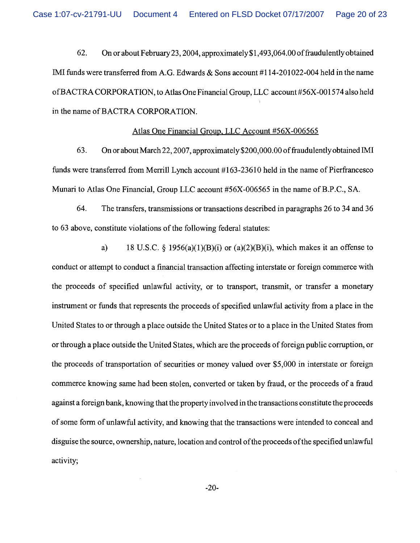Case 1:07-cv-21791-UU Document 4 Entered on FLSD Docket 07/17/2007 Page 20 of 23

62. On or about February23,2004, **approximately\$1,493,064.00** offraudulentlyobtained IMI funds were transferred from A.G. Edwards & Sons account #114-201022-004 held in the name ofBACTRA CORPORATION, to Atlas One Financial Group, LLC account #56X-001574 also held in the name of BACTRA CORPORATION.

#### Atlas One Financial Group. LLC Account #56X-006565

63. On or about March 22, 2007, approximately \$200,000.00 of fraudulently obtained IMI funds were transferred from Merrill Lynch account #163-23610 held in the name of Pierfiancesco Munari to Atlas One Financial, Group LLC account #56X-006565 in the name of B.P.C., SA.

64. The transfers, transmissions or transactions described in paragraphs 26 to 34 and 36 to 63 above, constitute violations of the following federal statutes:

a) 18 U.S.C.  $\frac{5}{9}$  1956(a)(1)(B)(i) or (a)(2)(B)(i), which makes it an offense to conduct or attempt to conduct a financial transaction affecting interstate or foreign commerce with the proceeds of specified unlawful activity, or to transport, transmit, or transfer a monetary instrument or funds that represents the proceeds of specified unlawful activity from a place in the United States to or through a place outside the United States or to a place in the United States fiom or through a place outside the United States, which are the proceeds of foreign public corruption, or the proceeds of transportation of securities or money valued over \$5,000 in interstate or foreign commerce knowing same had been stolen, converted or taken by fraud, or the proceeds of a fraud against a foreign bank, knowing that the property involved in the transactions constitute the proceeds of some form of unlawful activity, and knowing that the transactions were intended to conceal and disguise the source, ownership, nature, location and control ofthe proceeds ofthe specified unlawful activity;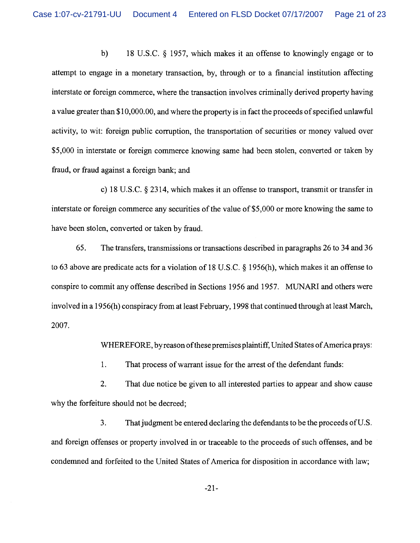b) 18 U.S.C. *5* 1957, which makes it an offense to knowingly engage or to attempt to engage in a monetary transaction, by, through or to a financial institution affecting interstate or foreign commerce, where the transaction involves criminally derived property having a value greater than \$10,000.00, and where the property is in fact the proceeds of specified unlawful activity, to wit: foreign public corruption, the transportation of securities or money valued over \$5,000 in interstate or foreign commerce knowing same had been stolen, converted or taken by fraud, or fraud against a foreign bank; and

c) 18 U.S.C. *5* 2314, which makes it an offense to transport, transmit or transfer in interstate or foreign commerce any securities of the value of \$5,000 or more knowing the same to have been stolen, converted or taken by fraud.

65. The transfers, transmissions or transactions described in paragraphs 26 to 34 and 36 to 63 above are predicate acts for a violation of 18 U.S.C. *5* 1956(h), which makes it an offense to conspire to commit any offense described in Sections 1956 and 1957. MUNARI and others were involved in a 1956(h) conspiracy from at least February, 1998 that continued through at least March, 2007.

WHEREFORE, by reason of these premises plaintiff, United States of America prays:

1. That process of warrant issue for the arrest of the defendant funds:

2. That due notice be given to all interested parties to appear and show cause why the forfeiture should not be decreed;

3. That judgment be entered declaring the defendants to be the proceeds of U.S. and foreign offenses or property involved in or traceable to the proceeds of such offenses, and be condemned and forfeited to the United States of America for disposition in accordance with law;

 $-21-$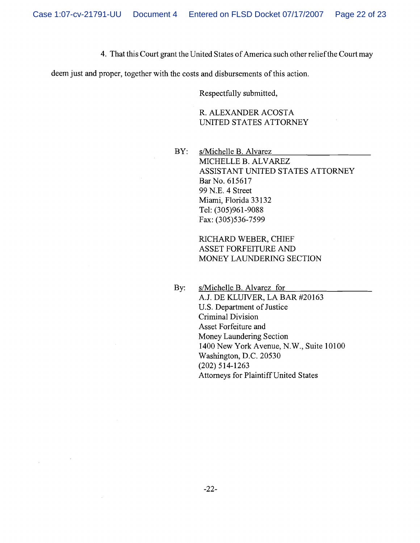4. That this Court grant the United States of America such other reliefthe Court may

deem just and proper, together with the costs and disbursements of this action.

Respectfully submitted,

R. ALEXANDER ACOSTA UNITED STATES ATTORNEY

BY: s/Michelle B. Alvarez MICHELLE B. ALVAREZ ASSISTANT UNITED STATES ATTORNEY Bar No. 615617 99 N.E. 4 Street Miami, Florida 33 132 Tel: (305)961-9088 Fax: (305)536-7599

> RICHARD WEBER, CHIEF ASSET FORFEITURE AND MONEY LAUNDERING SECTION

By: s/Michelle B. Alvarez for A.J. DE KLUIVER, LA BAR #20163 U.S. Department of Justice Criminal Division Asset Forfeiture and Money Laundering Section 1400 New York Avenue, N.W., Suite 10100 Washington, D.C. 20530 (202) 5 14-1263 Attorneys for Plaintiff United States